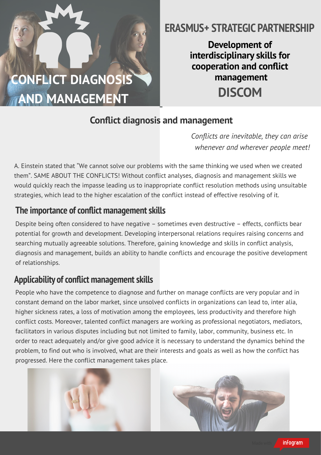

## **ERASMUS+ STRATEGIC PARTNERSHIP**

**Development of interdisciplinary skills for cooperation and conict management DISCOM**

#### **Conflict diagnosis and management**

*Conflicts are inevitable, they can arise whenever and wherever people meet!*

A. Einstein stated that "We cannot solve our problems with the same thinking we used when we created them". SAME ABOUT THE CONFLICTS! Without conflict analyses, diagnosis and management skills we would quickly reach the impasse leading us to inappropriate conflict resolution methods using unsuitable strategies, which lead to the higher escalation of the conflict instead of effective resolving of it.

#### **The importance of conflict management skills**

Despite being often considered to have negative – sometimes even destructive – effects, conflicts bear potential for growth and development. Developing interpersonal relations requires raising concerns and searching mutually agreeable solutions. Therefore, gaining knowledge and skills in conflict analysis, diagnosis and management, builds an ability to handle conflicts and encourage the positive development of relationships.

#### Applicability of conflict management skills

People who have the competence to diagnose and further on manage conflicts are very popular and in constant demand on the labor market, since unsolved conflicts in organizations can lead to, inter alia, higher sickness rates, a loss of motivation among the employees, less productivity and therefore high conflict costs. Moreover, talented conflict managers are working as professional negotiators, mediators, facilitators in various disputes including but not limited to family, labor, community, business etc. In order to react adequately and/or give good advice it is necessary to understand the dynamics behind the problem, to find out who is involved, what are their interests and goals as well as how the conflict has progressed. Here the conflict management takes place.